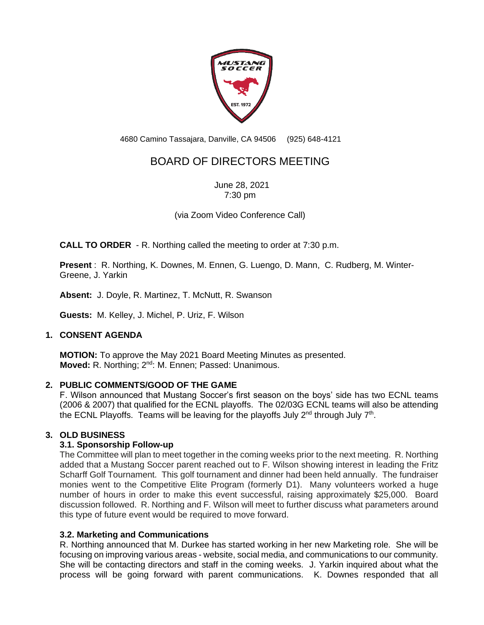

4680 Camino Tassajara, Danville, CA 94506 (925) 648-4121

# BOARD OF DIRECTORS MEETING

June 28, 2021 7:30 pm

(via Zoom Video Conference Call)

**CALL TO ORDER** - R. Northing called the meeting to order at 7:30 p.m.

**Present** : R. Northing, K. Downes, M. Ennen, G. Luengo, D. Mann, C. Rudberg, M. Winter-Greene, J. Yarkin

**Absent:** J. Doyle, R. Martinez, T. McNutt, R. Swanson

**Guests:** M. Kelley, J. Michel, P. Uriz, F. Wilson

#### **1. CONSENT AGENDA**

**MOTION:** To approve the May 2021 Board Meeting Minutes as presented. **Moved:** R. Northing; 2<sup>nd</sup>: M. Ennen; Passed: Unanimous.

#### **2. PUBLIC COMMENTS/GOOD OF THE GAME**

F. Wilson announced that Mustang Soccer's first season on the boys' side has two ECNL teams (2006 & 2007) that qualified for the ECNL playoffs. The 02/03G ECNL teams will also be attending the ECNL Playoffs. Teams will be leaving for the playoffs July 2<sup>nd</sup> through July 7<sup>th</sup>.

#### **3. OLD BUSINESS**

#### **3.1. Sponsorship Follow-up**

The Committee will plan to meet together in the coming weeks prior to the next meeting. R. Northing added that a Mustang Soccer parent reached out to F. Wilson showing interest in leading the Fritz Scharff Golf Tournament. This golf tournament and dinner had been held annually. The fundraiser monies went to the Competitive Elite Program (formerly D1). Many volunteers worked a huge number of hours in order to make this event successful, raising approximately \$25,000. Board discussion followed. R. Northing and F. Wilson will meet to further discuss what parameters around this type of future event would be required to move forward.

#### **3.2. Marketing and Communications**

R. Northing announced that M. Durkee has started working in her new Marketing role. She will be focusing on improving various areas - website, social media, and communications to our community. She will be contacting directors and staff in the coming weeks. J. Yarkin inquired about what the process will be going forward with parent communications. K. Downes responded that all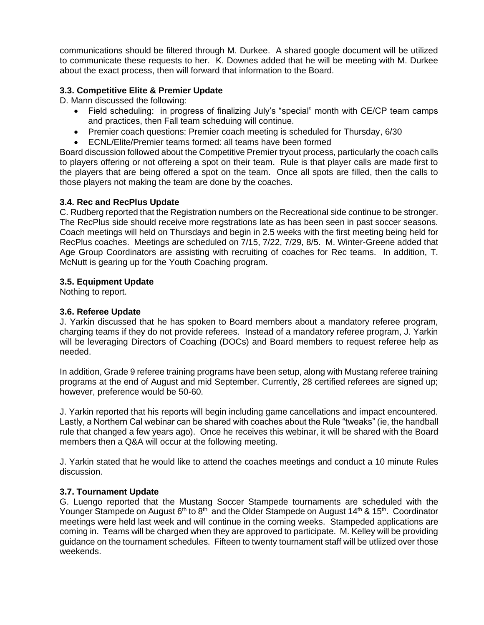communications should be filtered through M. Durkee. A shared google document will be utilized to communicate these requests to her. K. Downes added that he will be meeting with M. Durkee about the exact process, then will forward that information to the Board.

# **3.3. Competitive Elite & Premier Update**

D. Mann discussed the following:

- Field scheduling: in progress of finalizing July's "special" month with CE/CP team camps and practices, then Fall team scheduing will continue.
- Premier coach questions: Premier coach meeting is scheduled for Thursday, 6/30
- ECNL/Elite/Premier teams formed: all teams have been formed

Board discussion followed about the Competitive Premier tryout process, particularly the coach calls to players offering or not offereing a spot on their team. Rule is that player calls are made first to the players that are being offered a spot on the team. Once all spots are filled, then the calls to those players not making the team are done by the coaches.

# **3.4. Rec and RecPlus Update**

C. Rudberg reported that the Registration numbers on the Recreational side continue to be stronger. The RecPlus side should receive more regstrations late as has been seen in past soccer seasons. Coach meetings will held on Thursdays and begin in 2.5 weeks with the first meeting being held for RecPlus coaches. Meetings are scheduled on 7/15, 7/22, 7/29, 8/5. M. Winter-Greene added that Age Group Coordinators are assisting with recruiting of coaches for Rec teams. In addition, T. McNutt is gearing up for the Youth Coaching program.

# **3.5. Equipment Update**

Nothing to report.

## **3.6. Referee Update**

J. Yarkin discussed that he has spoken to Board members about a mandatory referee program, charging teams if they do not provide referees. Instead of a mandatory referee program, J. Yarkin will be leveraging Directors of Coaching (DOCs) and Board members to request referee help as needed.

In addition, Grade 9 referee training programs have been setup, along with Mustang referee training programs at the end of August and mid September. Currently, 28 certified referees are signed up; however, preference would be 50-60.

J. Yarkin reported that his reports will begin including game cancellations and impact encountered. Lastly, a Northern Cal webinar can be shared with coaches about the Rule "tweaks" (ie, the handball rule that changed a few years ago). Once he receives this webinar, it will be shared with the Board members then a Q&A will occur at the following meeting.

J. Yarkin stated that he would like to attend the coaches meetings and conduct a 10 minute Rules discussion.

# **3.7. Tournament Update**

G. Luengo reported that the Mustang Soccer Stampede tournaments are scheduled with the Younger Stampede on August 6<sup>th</sup> to 8<sup>th</sup> and the Older Stampede on August 14<sup>th</sup> & 15<sup>th</sup>. Coordinator meetings were held last week and will continue in the coming weeks. Stampeded applications are coming in. Teams will be charged when they are approved to participate. M. Kelley will be providing guidance on the tournament schedules. Fifteen to twenty tournament staff will be utliized over those weekends.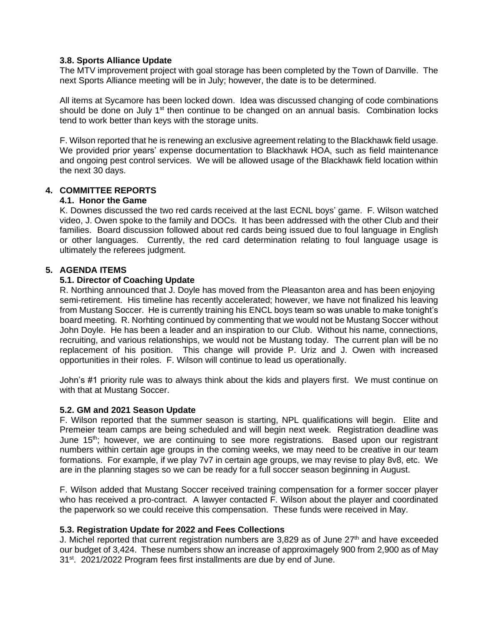#### **3.8. Sports Alliance Update**

The MTV improvement project with goal storage has been completed by the Town of Danville. The next Sports Alliance meeting will be in July; however, the date is to be determined.

All items at Sycamore has been locked down. Idea was discussed changing of code combinations should be done on July  $1<sup>st</sup>$  then continue to be changed on an annual basis. Combination locks tend to work better than keys with the storage units.

F. Wilson reported that he is renewing an exclusive agreement relating to the Blackhawk field usage. We provided prior years' expense documentation to Blackhawk HOA, such as field maintenance and ongoing pest control services. We will be allowed usage of the Blackhawk field location within the next 30 days.

## **4. COMMITTEE REPORTS**

#### **4.1. Honor the Game**

K. Downes discussed the two red cards received at the last ECNL boys' game. F. Wilson watched video, J. Owen spoke to the family and DOCs. It has been addressed with the other Club and their families. Board discussion followed about red cards being issued due to foul language in English or other languages. Currently, the red card determination relating to foul language usage is ultimately the referees judgment.

#### **5. AGENDA ITEMS**

#### **5.1. Director of Coaching Update**

R. Northing announced that J. Doyle has moved from the Pleasanton area and has been enjoying semi-retirement. His timeline has recently accelerated; however, we have not finalized his leaving from Mustang Soccer. He is currently training his ENCL boys team so was unable to make tonight's board meeting. R. Norhting continued by commenting that we would not be Mustang Soccer without John Doyle. He has been a leader and an inspiration to our Club. Without his name, connections, recruiting, and various relationships, we would not be Mustang today. The current plan will be no replacement of his position. This change will provide P. Uriz and J. Owen with increased opportunities in their roles. F. Wilson will continue to lead us operationally.

John's #1 priority rule was to always think about the kids and players first. We must continue on with that at Mustang Soccer.

#### **5.2. GM and 2021 Season Update**

F. Wilson reported that the summer season is starting, NPL qualifications will begin. Elite and Premeier team camps are being scheduled and will begin next week. Registration deadline was June 15th; however, we are continuing to see more registrations. Based upon our registrant numbers within certain age groups in the coming weeks, we may need to be creative in our team formations. For example, if we play 7v7 in certain age groups, we may revise to play 8v8, etc. We are in the planning stages so we can be ready for a full soccer season beginning in August.

F. Wilson added that Mustang Soccer received training compensation for a former soccer player who has received a pro-contract. A lawyer contacted F. Wilson about the player and coordinated the paperwork so we could receive this compensation. These funds were received in May.

#### **5.3. Registration Update for 2022 and Fees Collections**

J. Michel reported that current registration numbers are 3,829 as of June  $27<sup>th</sup>$  and have exceeded our budget of 3,424. These numbers show an increase of approximagely 900 from 2,900 as of May 31<sup>st</sup>. 2021/2022 Program fees first installments are due by end of June.